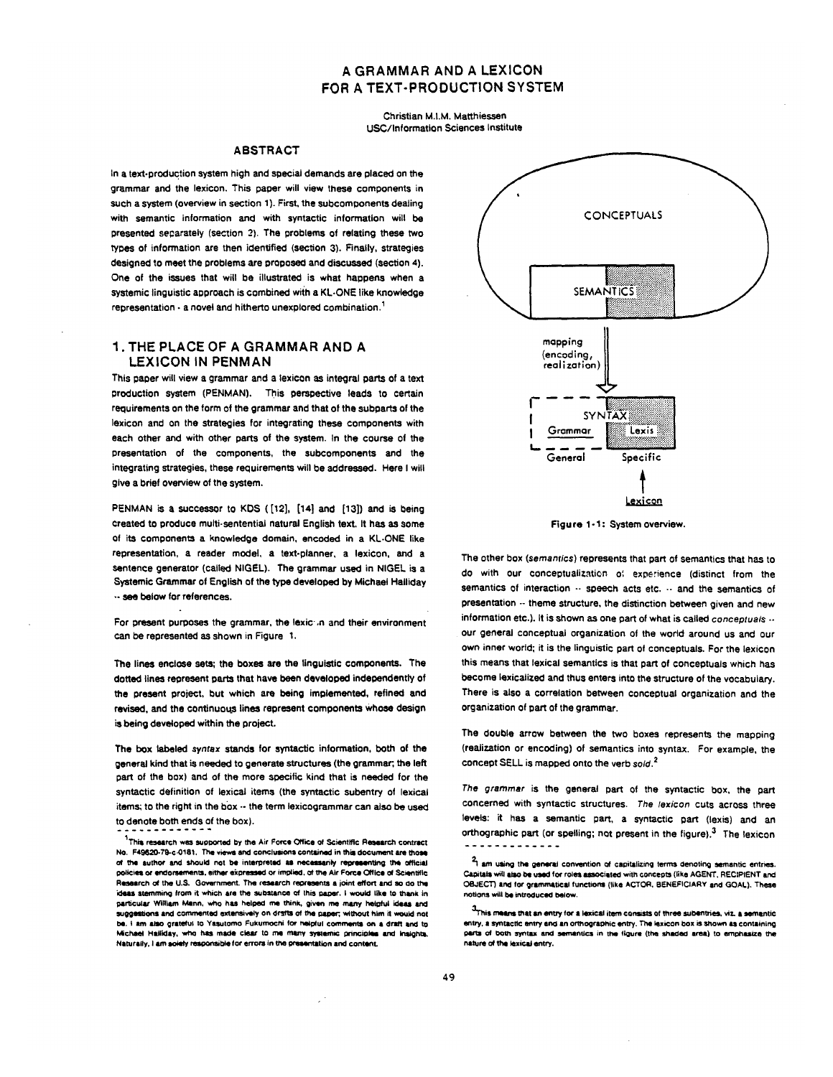# **A GRAMMAR AND A LEXICON FOR A TEXT-PRODUCTION SYSTEM**

Christian M.I.M. Matthiessen USC/Information Sciences Institute

## ABSTRACT

In a text-production system high and special demands are placed on the grammar and the lexicon. This paper will view these components in such a system (overview in section 1). First, the subcomponents dealing with semantic information and with syntactic information will be presented separately (section 2). The problems of relating these two types of information are then identified (section 3). Finally, strategies designed to meet the problems are proposed and discussed (section 4). One of the issues that will be illustrated is what happens when a systemic linguistic approach is combined with a Kt..ONE like knowledge representation  $\cdot$  a novel and hitherto unexplored combination.<sup>1</sup>

## **1. THE PLACE OF A GRAMMAR AND A**  LEXICON IN PENMAN

This gaper will view a grammar and a lexicon as integral parts of a text production system (PENMAN). This perspective leads to certain requirements on the form of the grammar and that of the subparts of the lexicon and on the strategies for integrating these components with each other and with other parts of the system. In the course of the presentation of the components, the subcomponents and the integrating strategies, these requirements will be addressed. Here I will give a brief overview of the system.

PENMAN is a successor to KDS ([12], [14] and [13]) and is being created to produce muiti.sentential natural English text, It has as some of its components a knowledge domain, encoded in a KL-ONE like representation, a reader model, a text-planner, a lexicon, end a Sentence generator (called NIGEL). The grammar used in NIGEL is a Systemic Grammar of English of the type developed by Michael Halliday • - see below for references.

For present purposes the grammar, the lexic in and their environment can be represented as shown in Figure 1.

The lines enclose sets; the boxes are the linguistic components. The dotted lines represent parts that have been developed independently of the present project, but which are being implemented, refined and revised, and the continuous lines represent components whose design is being developed within the project.

*The box labeled syntax* stands for syntactic information, both of the general kind that is needed to generate structures (the grammar; the left part of the box) and of the more specific kind that is needed for the syntactic definition of lexical items (the syntactic subentry of lexical items; to the right in the box -- the term lexicogrammar can also be used to denote both ends of the box).



Figure 1-1: System overview.

The other box *(semamics)* represents that part of semantics that has to do with our conceptualization of experience (distinct from the semantics of interaction  $\cdots$  speech acts etc.  $\cdots$  and the semantics of presentation -- theme structure, the distinction between given and new information etc.). It is shown as one part of what is called *conceptuals* ... our general conceptual organization of the world around us and our own inner world; it is the linguistic part of conceptuals. For the lexicon this means that lexical semantics is that part of conceptuals which has become laxicalized and thus enters into the structure of the vocabulary. There is also a correlation between conceptual organization and the organization of part of the grammar.

The double arrow between the two boxes represents the mapping (realization or encoding) of semantics into syntax. For example, the concept SELL is mapped onto the verb *sold?* 

The grammar is the general part of the syntactic box, the part concerned with syntactic structures. *The /exicon* CUts across three levels: it has a semantic part, a syntactic part (lexis) and an orthographic part (or spelling; not present in the figure)? The lexicon -------------

 $1$ This research was supported by the Air Force Office of Scientific Research contract No. F49620-79-c-0181. The views and conclusions contained in this document are those of the author and should not be interpreted as necessarily representing the official policies or endorsements, either expressed or implied, of the Air Force Office of Scientific Research of the U.S. Government. The research represents a joint effort and so do the ideas stemming from it which are the substance of this paper. I would like to thank in particular William Mann, who has helped me think, given me many helpful ideas and suggestions and commented extensively on drsfts of the paper; without him it would not be. I am also grateful to Yasutomo Fukumochi for helpful comments on a draft and to Michael Halliday, who has made clear to me many systemic principles and Insights, Naturally, I am solely responsible for errors in the presentation and content.

 $2<sub>1</sub>$  am using the general convention of capitalizing terms denoting semantic entries. Capitals will also be used for roles associated with concepts (like AGENT. RECIPIENT and OBJECT) and for grammatical functions (like ACTOR. BENEFICIARY and GOAL). These notions will be introduced below.

 $3<sub>T</sub>$  his means that an entry for a lexical item consists of three subentries, viz. a semantic entry, a syntactic entry and an orthographic entry. The lexicon box is shown as containing parts of both syntax and semantics in the figure (the shaded area) to emphasize the nature of the lexical entry.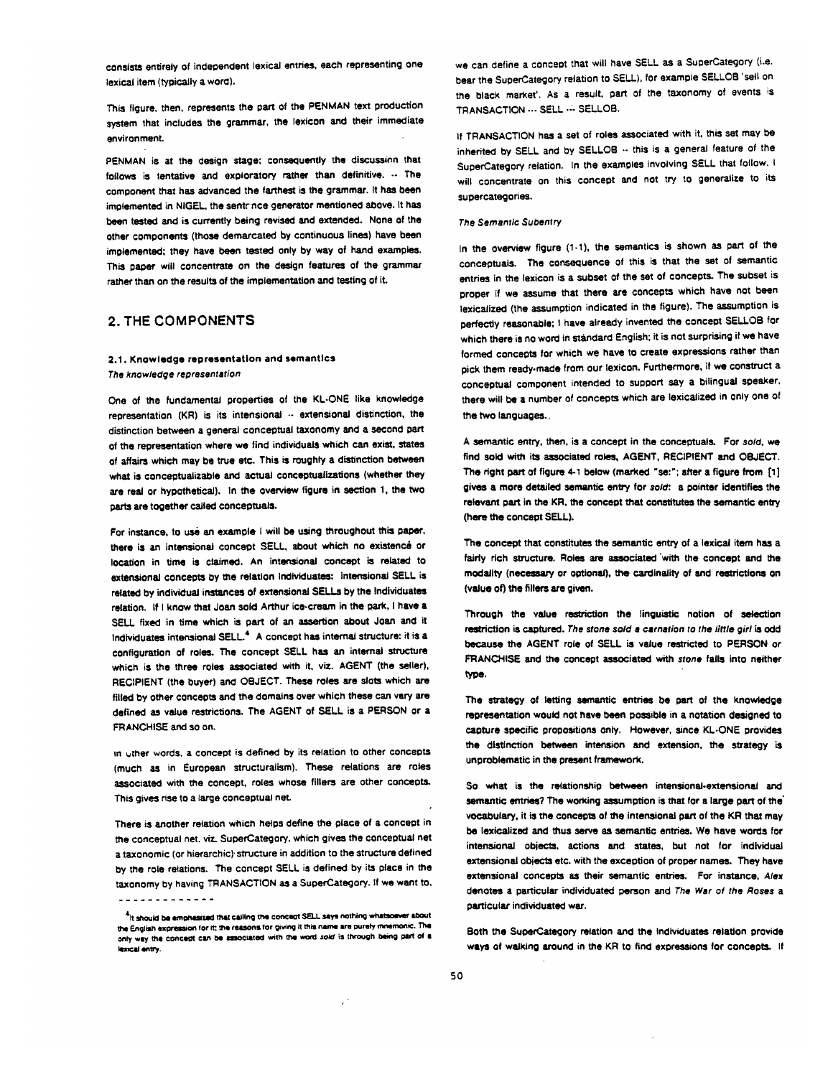consists entirely of independent lexical entries, each representing one lexical item (typically a word).

This figure, then, represents the part of the PENMAN text production system that includes the grammar, the lexicon and their immediate environment.

PENMAN is at the design stage; consequently the discussion that follows is tentative and exploratory rather than definitive.  $\cdots$  The component that has advanced the farthest is the grammar. It has been implemented in NIGEL, the sentonce generator mentioned above. It has been tested and is currently being revised and extended. None of the other components (those demarcated by continuous lines) have been implemented; they have been tested only by way of hand examples. This paper will concentrate on the design features of the grammar rather than on the results of the implementation and testing of it.

## **2. THE COMPONENTS**

### 2.1. Knowledge representation and semantics *The knowledge representation*

One of the fundamental properties of the KL-ONE like knowledge representation (KR) is its intensional -- extensional distinction, the distinction between a general conceptual taxonomy and a second part of the representation where we find individuals which can exist, states of affairs which may be true etc. This is roughly a distinction between what is conceptualizable and actual conceptualizations (whether they are real or hypothetical). In the overview figure in section 1, the two parts are together called conceptuals.

For instance, to use an example I will be using throughout this paper, there is an intensional concept SELL, about which no existence or location in time is claimed. An intensional concept is related to extensional concepts by the relation Individuates: intensional SELL is related by individual instances of extensional SELLs by the Individuates relation. If I know that Joan sold Arthur ice-cream in the park, I have a SELL fixed in time which is part of an assertion about Joan and it Individuates intensional SELL.<sup>4</sup> A concept has internal structure: it is a configuration of roles. The concept SELL has an internal structure which is the three roles associated with it, viz. AGENT (the seller), RECIPIENT (the buyer) and OBJECT. These roles are slots which are filled by other concepts and the domains over which these can very are defined as value restrictions. The AGENT of SELL is a PERSON or a FRANCHISE and so on.

in uther words, a concept is defined by its relation to other concepts (much aS in European structuraiism). These relations are roles associated with the concept, roles whose fillers are other concepts. This gives rise to a large conceptual net.

There is another relation which helps define the place of a concept in the conceptual net. viz. SuperCategory, which gives the conceptual net a taxonomic (or hierarchic) structure in addition to the structure defined by the role relations. The concept SELL is defined by its place in the taxonomy by having TRANSACTION as a SuperCategory. If we want to,

 $\mathcal{L}^{\star}$ 

we can define a concept that will have SELL as a SuperCategory (i.e. bear the SuperCategory relation to SELL), for example SELLCB 'sell on the black market'. As a result, part of the taxonomy of events is TRANSACTION --- SELL .-- SELLOB.

If TRANSACTION has a set of roles associated with it, this set may be inherited by SELL and by SELLOB .- this is a general feature of the SuperCategory relation. In the examples involving SELL that follow, I will concentrate on this concept and not try to generalize to its supercategones.

#### *The Semantic Subentry*

In the overview figure (1.1), the semantics is shown as part of the conceptuals. The consequence of this is that the set of semantic entries in the lexicon is a subset of the set of concepts. The subset is groper if we assume that there are concepts which have not been lexicalized (the assumption indicated in the figure). The assumption is perfectly reasonable; I have already invented the concept SELLOB for which there is no word in standard English: it is not surprising if we have formed concepts for which we have to create expressions rather than pick them reedy.made from our lexicon. Furthermore, if we construct a conceptual component intended to support say a bilingual speaker, there will be a number of concepts which are lexicaiized in only one of the two languages..

A semantic entry, than, is a concept in the conceptuais- For *sold, we*  find sold with its associated roles, AGENT, RECIPIENT and OBJECT. The right part of figure 4-1 below (marked "se:"; after a figure from  $[1]$ gives a more detailed semantic entry for *sold*: a pointer identifies the relevant part in the KR, the concept that constitutes the semantic entry (here the concept SELL).

The concept that constitutes the semantic entry of a lexicai item has a fairly rich structure. Roles are associated with the concept and the modality (necessary or optional), the cardinality of and restrictions on (value of) the fillers are given.

Through the value restriction the linguistic notion of selection restriction is captured. *The stone sold a carnation* to *the little girl is odd*  because the AGENT role of SELL is value restricted to PERSON or FRANCHISE and the concept associated with stone fails into neither type.

The strategy of letting semantic entries be part of the knowledge representation would not have been possible in a notation designed to capture specific propositions only. However, since KL-ONE provides the distinction between intension and extension, the strategy is unproblematic in the present framework.

So what is the relationship between intensional-extensionai and semantic entries? The working assumption is that for a large part of the vocabulary, it is the concepts of the intensional part of the KR that may be lexicalized and thus serve as semantic entries. We have words for intensional objects, actions and states, but not for individual extensional objects etc. with the exception of proper names. They have extensional concepts as their semantic entries. For instance, *Alex*  denotes a particular individuated person and *The War of the Roses a*  particular individuated war.

Both the SuperCategory relation and the Individuates relation provide ways of walking around in the KR to find expressions for concepts. If

<sup>&</sup>lt;sup>4</sup>It should be emohasized that calling the concept SELL says nothing whatsoever about the English expression for it: the reasons for giving it this name are purely mnemonic. The only way the concept can be associated with the word sold is through being part of a lexical entry.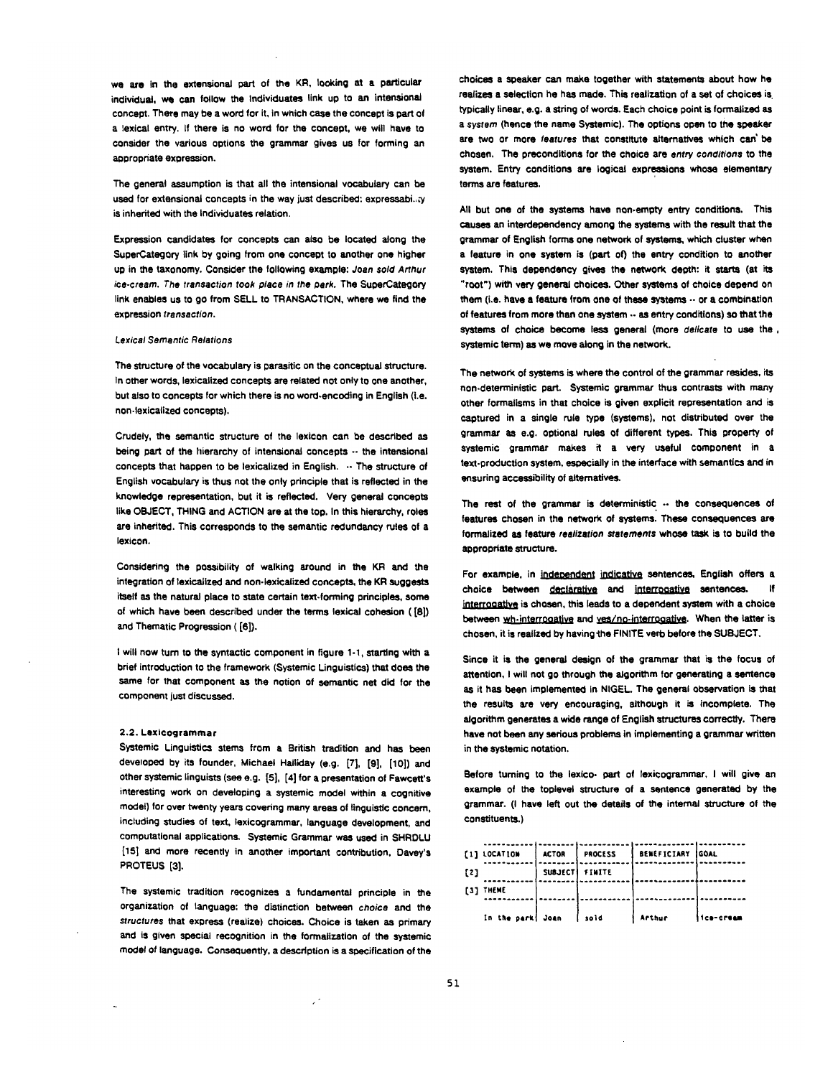we are in the extensional part of the KR, looking at a particular individual, we can follow the Individuates link up to an intensional concept. There may be a word for it, in which case the concept is part of a laxical entry. If there is no word for the concept, we will have to consider the various options the grammar gives us for forming an appropriate expression.

The general assumption is that all the intensional vocabulary can he used for extensional concepts in the way just described; expressabi..;y is inherited with the Individuates relation.

Expression candidates for concepts can also be located along the SuperCategory link by going from one concept to another one higher up in the taxonomy. Consider the following example: *Joan sold Arthur ice-cream. The transaction took place in the park.* The SuperCategory link enables us to go from SELL to TRANSACTION, where we find the expression *transaction.* 

### *Lexical Semantic Relations*

The structure of the vocabulary is parasitic on the conceptual structure. In other words, laxicalized concepts are related not only to one another, but also to concepts for which there is no word-encoding in English (i.e. non-laxicalized concepts).

Crudely, the semantic structure of the lexicon can be described as being part of the hierarchy of intensional concepts  $\cdots$  the intensional concepts that happen to be lexicalized in English. -- The structure of English vocabulary is thus not the only principle that is reflected in the knowledge representation, but it is reflected. Very general concepts like OBJECT, THING and ACTION are at the top. In this hierarchy, roles are inherited. This corresponds to the semantic redundancy rules of a lexicon.

Considering the possibility of walking around in the KR and the integration of texicalized and non.iexicalized concepts, the KR suggests itself as the natural place to state certain text-forming principles, some of which have been described under the terms lexical cohesion ([8]) and Thematic Progression ([6]).

I will now turn to the syntactic component in figure 1-1, starting with a brief introduction to the framework (Systemic Linguistics) that does the same for that component as the notion of semantic net did for the component just discussed.

#### 2,2. Lexicogrammar

Systemic Linguistics stems from a British tradition and has been developed by its founder, Michael Halliday (e.g. [7], [9], [10]) and other systemic linguists (see e.g. [5], [4] for a presentation of Fawcett's interesting work on developing a systemic model within a cognitive model) for over twenty years covering many areas of linguistic concern, including studies of text, lexicogrammar, language development, and computational applications. Systemic Grammar was used in SHRDLU [15] and more recently in another important contribution, Davey'a PROTEUS [3].

The systemic tradition recognizes a fundamental principle in the organization of language: the distinction between *choice* and the *structures* that express (realize) choices. Choice is taken as primary and is given special recognition in the formalization of the systemic model of language. Consequently, a description is a specification of the

choices a speaker can make together with statements about how he realizes a selection he has made. This realization of a set of choices is typically linear, e.g. a string of words. Each choice point is formalized as a system (hence the name Systemic). The options open to the speaker are two or more *features* that constitute alternatives which can' be chosen. The preconditions for the choice are *entry conciitiona* to the system. Entry conditions are logical expressions whose elementary terms are features.

All but one of the systems have non-emoty entry conditions. This causes an interdependency among the systems with the result that the grammar of English forms one network of systems, which cluster when a feature in one system is (part of) the entry condition to another system. This dependency gives the network depth: it starts (at its "root") with very general choices. Other systems of choice depend on them (i.e. have a feature from one of these systems  $\cdots$  or a combination of features from more than one system .. as entry conditions) so that the systems of choice become less general (more *delicate* to use the, systemic term) as we move along in the network.

The network of systems is where the control of the grammar resides, its non.deterministic part. Systemic grammar thus contrasts with many other formalisms in that choice is given explicit representation and is captured in a single rule type (systems), not distributed over the grammar as e.g. optional rules of different types. This property of systemic grammar makes it a very useful component in a text-production system, especially in the interface with semantics and in ensuring accessibility of alternatives.

The rest of the grammar is deterministic  $\cdots$  the consequences of features chosen in the network of systems. These consequences are formalized as feature *realization statements* whose task is to build the appropriate structure.

For example, in independent indicative sentences, English offers a choice between declarative and interrogative sentences. interrooative is chosen, this leads to a dependent system with a choice between wh-interrocative and ves/no-interrocative. When the latter is chosen, it is realized by having the FINITE verb before the SUBJECT.

Since it is the general design of the grammar that is the focus of attention, I will not go through the algorithm for generating a sentence as it has been implemented in NIGEL. The general observation is that the results are very encouraging, although it is incomplete. The algorithm generates a wide range of English structures correctly. There have not been any serious problems in implementing a grammar written in the systemic notation.

Before turning to the lexico, part of lexicogrammar, I will give an example of the toplevel structure of a sentence generated by the grammar. (I have left out the details of the internal structure of the constituents.)

|     | $[1]$ LOCATION   | <b>ACTOR</b> | PROCESS        | BENEFICIARY GOAL |            |
|-----|------------------|--------------|----------------|------------------|------------|
| [2] |                  |              | SUBJECT FINITE |                  |            |
|     | [3] THEME        |              |                |                  |            |
|     | In the park Joan |              | sold           | Arthur           | fice-cream |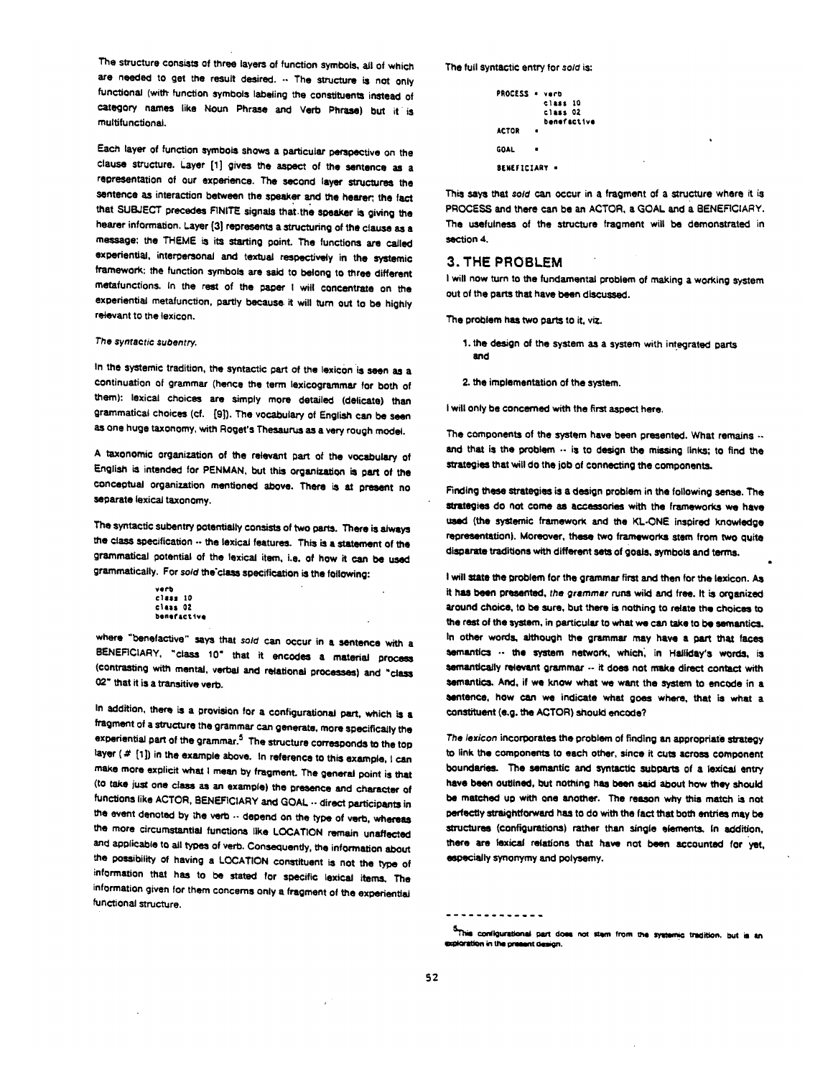The structure consists of three layers of function symbols, all of which are needed to get the result desired. .. The structure is not only functional (with- function symbols labeling the constituents instead of category names like Noun Phrase and Verb Phrase) but it is multifunctional.

Each layer of function symbols shows a particular perspective on the clause structure. Layer [1] gives the aspect of the sentence as a representation of our experience. The second layer structures the sentence as interaction between the speaker and the hearer; the fact that SUBJECT precedes FINITE signals that.the speaker is giving the hearer information. Layer [3] represents a structuring of the clause as a message; the THEME is its starting point. The functions are called experiential, interpersonal and textual respectively in the systemic framework: the function symbols are said to belong to three different metafunctions, in the rest of the paper I will concentrate on the experiential metafunction, partly because it will turn out to be highly relevant to the lexicon.

#### **The syntactic subentry.**

In the systemic tradition, the syntactic part of the lexicon is seen as a continuation of grammar (hence the term lexicogrammar for both of them): lexical choices are simply more detailed (delicate) than grammatical choices (cf. [9]). The vocabulary of English can be seen as one huge taxonomy, with Roget's Thesaurus as a very rough model.

A taxonomic organization of the relevant Dart of the vocabulary of English is intended for PENMAN, but this Organization is part of the conceptual organization mentioned above. There is at present no separate lexical taxonomy.

The syntactic subentry potentially consists of two parts. There is always the class specification .. the lexical features. This is a statement of the grammatical potential of the lexicai item, i.e. of how it can be used grammatically. For *sold* the class specification is the following:

```
verb 
class 10class 02
benefactive
```
where "benefactive" says that sold can occur in a sentence with a BENEFICIARY, "class 10" that it encodes a material process (contrasting with mental, verbai and relational processes) and "class 02" that it is a transitive verb.

In addition, there is a provision for a configurational part, which is a h'agment of a Structure the grammar can generate, more specifically the experiential part of the grammar.<sup>5</sup> The structure corresponds to the top layer ( $#$  [1]) in the example above. In reference to this example, I can make more explicit what I mean by fragment. The general point is that (to take just one class as an example) the presence and character of functions like ACTOR, BENEFICIARY and GOAL .- direct participants in the event denoted by the verb ... depend on the type of verb, whereas the more circumstantial functions like LOCATION remain unaffected and applicable to all types of verb. Consequently, the information about the possibility of having a LOCATION constituent is not the type of information that has to be stated for specific lsxical items. The information given for them concerns only a fragment of the experiential functional structure.

The full syntactic entry for sold is:

```
PROCESS • veto 
           class IO 
           class 02 
           benefactive
ACTOR
GOAL 
BENEFICTARY *
```
This says that sold can occur in a fragment of a structure where it is PROCESS and there can be an ACTOR, a GOAL and a BENEFICIARY. The usefulness of the structure fragment will be demonstrated in section 4.

### **3.** THE PROBLEM

I will now turn to the fundamental problem of making a working system out of the parts that have been discussed.

The problem has two parts to it. viz.

1. the design of the system as a system with integrated parts and

2. the implementation of the system.

I will only be concerned with the first aspect here.

The components of the system have been presented. What remains  $\cdots$ and that is the problem  $\cdots$  is to design the missing links; to find the strategies that will do the job of connecting the components.

Finding these strategies is a design problem in the following sense. The strategies do not come as accessories with the frameworks we have uasd (the systemic framework and the KL-ONE inspired knowledge representation). Moreover, these two frameworks stem from two quite disparate traditions with different sets of goals, symbols and terms.

I will state the problem for the grammar first and then for the lexicon. As it has been presented, *the grammar runs* wild and free. It is organized around choice, to be sure, but there is nothing to relate the choices to the rest of the system, in particular to what we can take to be semantics. In other words, although the grammar may have a part that faces semantics .. the system network, which, in Halliday's words, is semantically relevant grammar .- it does not make direct contact with semantics. And, if we know what we want the system to encode in a sentence, how can we indicate what goes where, that is what a constituent (e.g. the ACTOR) should encode?

The lexicon incorporates the problem of finding an appropriate strategy to link the components to each other, since it cuts acrosa component boundaries. The semantic and syntactic subparts of a lexical entry have been outlined, but nothing has been said about how they should be matched up with one another. The reason why this match is not perfectly straightforward has to do with the fact that both entries may be structures (configurations) rather than single elements. In addition, there are lexical relations that have not been accounted for yet, especially synonymy and polysemy.

<sup>-------------</sup>

<sup>5</sup>This configurational part does not stem from the systemic tradition, but is an exploration in the present design.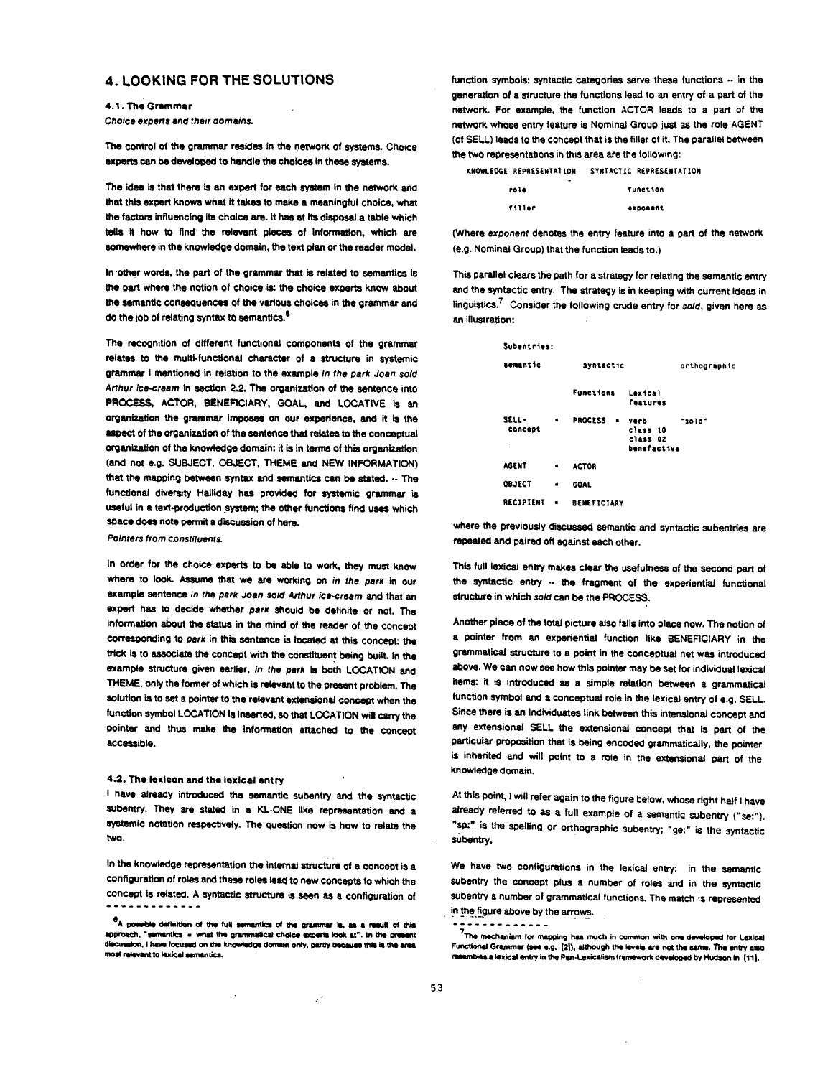## **4.** LOOKING FOR THE SOLUTIONS

4.1. The Grammar *Choice experts and their domains.* 

The control of the grammar resides in the network of systems. Choice experts can be developed to handle the choices in these systems.

The idea is that there is an expert for each system in the network and that this expert knows what it takes to make a meaningful choice, what the factors influencing its choice are. it has at its disposal a table which tells it how to find the relevant pieces of information, which are somewhere in the knowledge domain, the text plan or the reader model.

In other words, the part of the grammar that is related to semantics is the part where the notion of choice is: the choice experts know about the Semantic consequences of the various choices in the grammar and do the job of relating syntax to semantics.<sup>6</sup>

The recognition of different functional componenta of the grammar relates to the multi-funCtional character of a structure in systemic grammar I mentioned in relation to the example *In the park Joan sold Arthur ice.cream* in section 2.2. The organization of the sentence into PROCESS, ACTOR, BENEFICIARY, GOAL, and LOCATIVE is an organization the grammar impeses on our experience, and it is the aspect of the organization of the Sentence that relates to the conceptual organization of the knowledge domain: it is in terms of this organization (and not e.g. SUBJECT, OBJECT, THEME and NEW INFORMATION) that the mapping between syntax and semantics can be stated. $\cdots$  The functional diversity Hailiday has provided for systemic grammar is useful in a text-production system; the other functions find uses which space does note permit a discussion of here.

**Pointers from constituents.** 

In order for the choice experts to be able to work, they must know where to look. Resume that we are working on *in the park* in our example Sentence *in the park Joan sold Arthur ice.cream* and that an expert has to decide whether *park* should be definite or not. The information about the status in the mind of the reader of the concept corresponding to *park* in this sentence is located at this concent: the trick is to associate the concept with the constituent being built. In the example structure given earlier, *in the park* is both LOCATION and THEME, only the former of which is relevant to the present problem. The solution is to set a pointer to the relevant extensional concept when the function symbol LOCATION is inserted, so that LOCATION will carry the pointer and thus make the information attached to the concept accessible.

### 4.2. The lexicon and the lexlcal entry

I have already introduced the semantic subentry and the syntactic subentry. They are stated in a KL-ONE like representation and a systemic notation respectively. The question now is how to relate the two.

In the knowledge representation the internal structure of a concept is a configuration of roles and these roles lead to new concepts to which the concept is related. A syntactic structure is seen as a configuration of

/

function symbols; syntactic categories serve these functions -- in the generation of a structure the functions lead to an entry of a part of the network. For example, the function ACTOR leads to a part of the network whose entry feature is Nominal Group just as the role AGENT (of SELL) leads to the concept that is the filler of it. The parallel between the two representations in this area are the following:

| <b>KNOWLEDGE REPRESENTATION</b> | SYNTACTIC REPRESENTATION |
|---------------------------------|--------------------------|
| ٠<br>role                       | function                 |
| <b>P43340</b>                   |                          |

(Where *exponent* denotes the entry feature into a part of the network (e.g. Nominal Group) that the function leads to.)

This parallel clears the path for a strategy for relating the semantic entry and the syntactic entry. The strategy is in keeping with current ideas in linguistics.<sup>7</sup> Consider the following crude entry for sold, given here as an illustration:

| Subentries:                  |   |                                  |                                             |              |
|------------------------------|---|----------------------------------|---------------------------------------------|--------------|
| zemantic                     |   | syntactic                        |                                             | orthographic |
|                              |   | <b>Functions</b>                 | Laxical<br>features                         |              |
| <b>SELL-</b><br>concept<br>× | ٠ | <b>PROCESS</b><br>$\blacksquare$ | verb<br>class 10<br>class 02<br>benefactive | "sold"       |
| <b>AGENT</b>                 | ٠ | <b>ACTOR</b>                     |                                             |              |
| OBJECT                       | ٠ | GOAL                             |                                             |              |
| <b>RECIPIENT</b>             | ٠ | <b>BENEFICIARY</b>               |                                             |              |

where the previously discussed semantic and syntactic subentries are repeated and paired off against each other.

This full lexical entry makes clear the usefulness of the second part of the syntactic entry .. the fragment of the experiential functional structure in which *sold* can be the PROCESS.

Another piece of the total picture siso falls into place now. The notion of a pointer from an experiential function like BENEFICIARY in the grammatical structure to a point in the conceptual net was introduced above. We can now see how this pointer may be Set for individual lexical items: it is introduced as a simple relation between a grammatical function symbol and s conceptual role in the iexical entry of e.g. SELL. Since there is an Indlviduates link between this intensionai concept and any extensional SELL the extensional concept that is part of the particular proposition that is being encoded grammatically, the pointer is inherited and will point to a role in the extensional part of the knowledge domain.

At this point, I will refer again to the figure below, whose right half I have already referred to as a full example of a semantic subentry ("se:"). "sp:" is the spelling or orthographic subentry; "ge:" is the syntactic subentry.

We have two configurations in the lexical entry: in the semantic subentry the concept plus a number of roles and in the syntactic subentry a number of grammatical functions. The match is represented in the figure above by the arrows.

----------

 $a_A$  possible definition of the full semantics of the grammar is, as a result of this IOD/OECh, "semantics = what the grammatical choice experts look at". In the pre aion, I have focused on the knowledge domain only, partly because this is the area most relevant to lexical semantics.

 $7$ The mechanism for mapping has much in common with one developed for Lexical Functional Grammar (see e.g. {2}), although the levels are not the same. The entry also embles a lexical entry in the Pan-Lexicalism framework developed by Hudson in [11].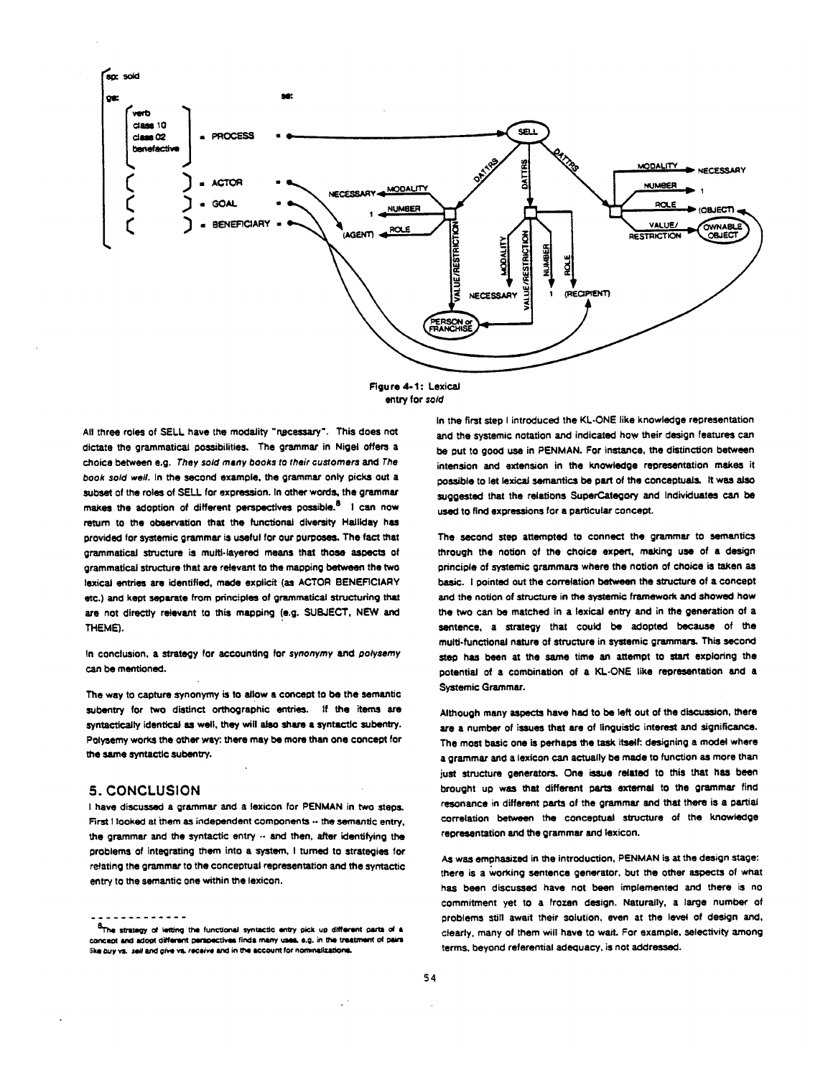

FIgure 4-1: Lexical entry for *sold* 

All three roles of SELL have the modality "necessary". This does not dictate the grammatical possibilities. The grammar in Nigel offers a choice between e.g. *They sold many books to their customers and The*  book sold well, in the second example, the grammar only picks out a subset of the roles of SELL for expression. In other words, the grammar makes the adoption of different perspectives possible.<sup>8</sup> I can now return to the observation that the functional diversity Halliday has provided for systemic grammar is useful for our purposes. The fact that grammatical structure is multi.layered means that those aspects of grammatical structure that are relevant to the mapping between the two lexical entries are identified, made explicit (as ACTOR BENEFICIARY etc.) and kept separate from principles of grammatical structuring that are not directly relevant to this mapping (e.g. SUBJECT, NEW and THEME).

In conclusion, a stretegy for accounting for *synonymy and polysemy*  can be mentioned.

The way to capture synonymy is to allow a concept to be the semantic subentry for two distinct orthographic entries. If the items are syntactically identical as well. they will also share a syntactic subentry. Polyeemy works the other way:. there may be more than one concept for the same syntactic subentry.

## **5.** CONCLUSION

I have discussed a grammar and a lexicon for PENMAN in two steps. First I looked at them as independent components  $\cdots$  the semantic entry, the grammar and the syntactic entry  $\cdots$  and then, after identifying the problems of integrating them into a system, I tumed to strategies for relating the grammar to the conceptual representation and the syntactic entry to the semantic one within the lexicon.

in the first step I introduced the KL-ONE like knowledge representation and the systemic notation and indicated how their design features can be Out to good use in PENMAN. For instance, the distinction between intension and extension in the knowledge representation makes it possible to let lexical semantics be part of the conceptuals. It was also suggested that the relations SuperCategory and Individuates can be used to find expressions for a particular concept.

The second step attempted to connect the grammar to semantics through the notion of the choice expert, making use of a design principle of systemic grammars where the notion of choice is taken as basic. I pointed out the correlation between the structure of a concept and the notion of structure in the systemic framework and showed how the two can be matched in a lexical entry and in the generation of a sentence, a strategy that could be adopted because of the multi-functional nature of structure in systemic grammars. This second step has been at the same time an attempt to start exploring the potential of a combination of a KL-ONE like representation and a Systemic Grammar.

Although many aspects have had to be left out of the discussion, there are a number of issues that are of linguistic interest and significance. The most basic one is perhaps the task itself: designing a model where a grammar and a lexicon can actually be made to function as more than just structure generators. One issue related to this that has been brought up was that different parts external to the grammar find resonance in different parts of the grammar and that there is a partial correlation between the conceptual structure of the knowledge representation and the grammar and lexicon.

As was emphasized in the introduction, PENMAN is at the design stage: there is a working sentence generator, but the other aspects of what has been discussed have not been implemented and there is no commitment yet to a frozen design. Naturally, a large number of problems still await their solution, even at the level of design and, clearly, many of them will have to wait. For example, selectivity among terms, beyond referential adequacy, is not addressed.

 $\frac{8}{1}$ The strategy of letting the functional syntactic entry pick up different parts of a concept and adopt different perspectives finds many uses, e.g. in the treatment of pairs like buy vs. sell and give vs. recaive and in the account for nominalizations.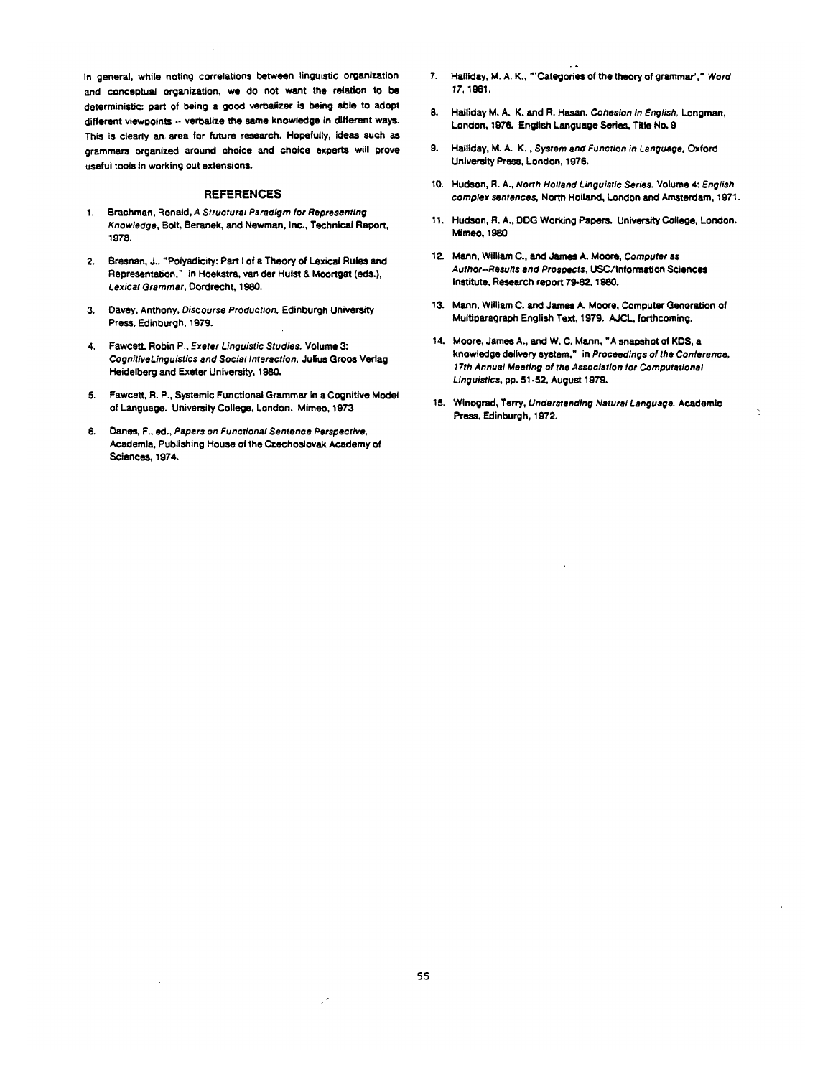In general, while noting correlations between linguistic organization and conceptual organization, we do not want the relation to be deterministic: part of being a good varbaiizar is being able to adopt different viewpoints -- verbalize the same knowledge in different ways. This is clearly an area for future research. Hopefully, ideas such as grammars organized around choice and choice experts will prove useful tools in working out extensions.

### REFERENCES

- Brachman, Roneld, *A Structural Paradigm for Representing Knowledge,* Bolt, Beranek, and Newman, Inc., Technical Report, 1978.
- Bresnan, J., "Polyadicity: Part I of s Theory of LexicaJ Rules and Representation," in Hoekstra, van dar Hulst & Moortgat (eds.), *Lexical Grammar,* Dordrecht, 1980.
- 3. Davey, Anthony, *Discourse Production, Edinburgh University* Press, Fdinburgh, 1979.
- **4.**  Fawcett, Robin P., *Exeter Linguistic Studies.* Volume 3: *CognitiveLinguistics and Social Interaction,* Julius Groos Vedag Heidelberg and Exeter University, 1980.
- **5.**  Fawcett, R. P., Systemic Functiomd Grammar in a Cognitive Model of Language. University College, London. MImeo, 1973
- *6. Danes, F., ed., Papers on Functional Sentence Perspective,*  Academia, Publishing House of the Czechoslovak Academy of Sciences, 1974.
- *7.*  Helliday, M. A. K., "'Categories of the theory of grammar'," *Word 17,* 1961.
- 8. Hailiday M. A. K. and R. Hasan, *Cohesion in English,* Longman, London, 1976. English Language Series, Title No. 9
- **9.**  Halliday, M.A.K., *System and Function in Languege,* Oxford University Press, London, 1976.
- 10. Hudson, R. A., *North Holland Linguistic Series.* Volume 4: *English complex sentences,* North Holland, London and Arnstardam, 1971.
- 11. Hudson, R. A., DDG Working Psper¢ University College, London. Mimeo, 1980
- **12.**  Mann, William C., and James A. Moore, *Computer as Author.-Resulls and Prospects,* USC/Informatlon Sciences Institute, Research report 79-82, 1980.
- 13. Mann, William C. and James A. Moore, Computer Generation of Multiparagraph English Text, 1979. AJCL, forthcoming.
- 14. Moore, Jame<del>s</del> A., and W. C. Mann, "A snapshot of KDS, a knowledge delivery system," in *Proceedings of the Conference, 17th Annual Meeting of the Association for Computational Linguistics, pp. 51-52, August 1979.*
- **15,**  Winogred, Terry, *Understanding Natural Language,* Academic Press, Edinburgh, 1972.

 $\overline{\phantom{0}}$